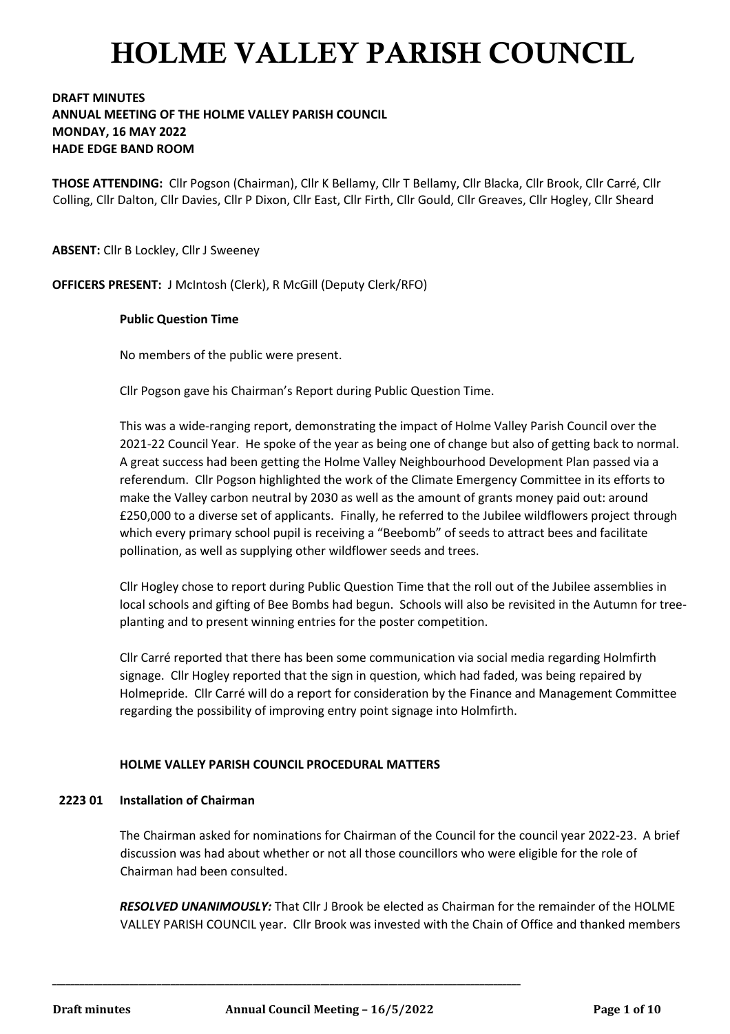### **DRAFT MINUTES ANNUAL MEETING OF THE HOLME VALLEY PARISH COUNCIL MONDAY, 16 MAY 2022 HADE EDGE BAND ROOM**

**THOSE ATTENDING:** Cllr Pogson (Chairman), Cllr K Bellamy, Cllr T Bellamy, Cllr Blacka, Cllr Brook, Cllr Carré, Cllr Colling, Cllr Dalton, Cllr Davies, Cllr P Dixon, Cllr East, Cllr Firth, Cllr Gould, Cllr Greaves, Cllr Hogley, Cllr Sheard

**ABSENT:** Cllr B Lockley, Cllr J Sweeney

**OFFICERS PRESENT:** J McIntosh (Clerk), R McGill (Deputy Clerk/RFO)

#### **Public Question Time**

No members of the public were present.

Cllr Pogson gave his Chairman's Report during Public Question Time.

This was a wide-ranging report, demonstrating the impact of Holme Valley Parish Council over the 2021-22 Council Year. He spoke of the year as being one of change but also of getting back to normal. A great success had been getting the Holme Valley Neighbourhood Development Plan passed via a referendum. Cllr Pogson highlighted the work of the Climate Emergency Committee in its efforts to make the Valley carbon neutral by 2030 as well as the amount of grants money paid out: around £250,000 to a diverse set of applicants. Finally, he referred to the Jubilee wildflowers project through which every primary school pupil is receiving a "Beebomb" of seeds to attract bees and facilitate pollination, as well as supplying other wildflower seeds and trees.

Cllr Hogley chose to report during Public Question Time that the roll out of the Jubilee assemblies in local schools and gifting of Bee Bombs had begun. Schools will also be revisited in the Autumn for treeplanting and to present winning entries for the poster competition.

Cllr Carré reported that there has been some communication via social media regarding Holmfirth signage. Cllr Hogley reported that the sign in question, which had faded, was being repaired by Holmepride. Cllr Carré will do a report for consideration by the Finance and Management Committee regarding the possibility of improving entry point signage into Holmfirth.

#### **HOLME VALLEY PARISH COUNCIL PROCEDURAL MATTERS**

**\_\_\_\_\_\_\_\_\_\_\_\_\_\_\_\_\_\_\_\_\_\_\_\_\_\_\_\_\_\_\_\_\_\_\_\_\_\_\_\_\_\_\_\_\_\_\_\_\_\_\_\_\_\_\_\_\_\_\_\_\_\_\_\_\_\_\_\_\_\_\_\_\_\_\_\_\_\_\_\_\_\_\_\_\_\_\_\_\_\_\_\_\_\_\_\_\_\_\_\_\_\_\_**

#### **2223 01 Installation of Chairman**

The Chairman asked for nominations for Chairman of the Council for the council year 2022-23. A brief discussion was had about whether or not all those councillors who were eligible for the role of Chairman had been consulted.

*RESOLVED UNANIMOUSLY:* That Cllr J Brook be elected as Chairman for the remainder of the HOLME VALLEY PARISH COUNCIL year. Cllr Brook was invested with the Chain of Office and thanked members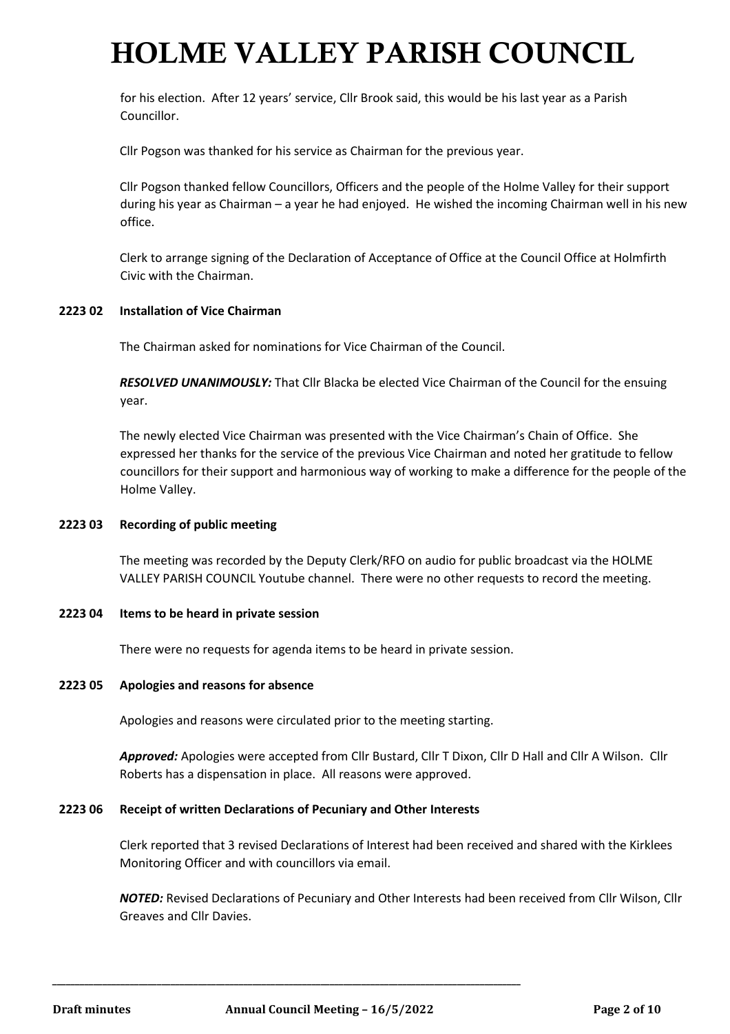for his election. After 12 years' service, Cllr Brook said, this would be his last year as a Parish Councillor.

Cllr Pogson was thanked for his service as Chairman for the previous year.

Cllr Pogson thanked fellow Councillors, Officers and the people of the Holme Valley for their support during his year as Chairman – a year he had enjoyed. He wished the incoming Chairman well in his new office.

Clerk to arrange signing of the Declaration of Acceptance of Office at the Council Office at Holmfirth Civic with the Chairman.

#### **2223 02 Installation of Vice Chairman**

The Chairman asked for nominations for Vice Chairman of the Council.

*RESOLVED UNANIMOUSLY:* That Cllr Blacka be elected Vice Chairman of the Council for the ensuing year.

The newly elected Vice Chairman was presented with the Vice Chairman's Chain of Office. She expressed her thanks for the service of the previous Vice Chairman and noted her gratitude to fellow councillors for their support and harmonious way of working to make a difference for the people of the Holme Valley.

#### **2223 03 Recording of public meeting**

The meeting was recorded by the Deputy Clerk/RFO on audio for public broadcast via the HOLME VALLEY PARISH COUNCIL Youtube channel. There were no other requests to record the meeting.

#### **2223 04 Items to be heard in private session**

There were no requests for agenda items to be heard in private session.

#### **2223 05 Apologies and reasons for absence**

Apologies and reasons were circulated prior to the meeting starting.

*Approved:* Apologies were accepted from Cllr Bustard, Cllr T Dixon, Cllr D Hall and Cllr A Wilson. Cllr Roberts has a dispensation in place. All reasons were approved.

#### **2223 06 Receipt of written Declarations of Pecuniary and Other Interests**

**\_\_\_\_\_\_\_\_\_\_\_\_\_\_\_\_\_\_\_\_\_\_\_\_\_\_\_\_\_\_\_\_\_\_\_\_\_\_\_\_\_\_\_\_\_\_\_\_\_\_\_\_\_\_\_\_\_\_\_\_\_\_\_\_\_\_\_\_\_\_\_\_\_\_\_\_\_\_\_\_\_\_\_\_\_\_\_\_\_\_\_\_\_\_\_\_\_\_\_\_\_\_\_**

Clerk reported that 3 revised Declarations of Interest had been received and shared with the Kirklees Monitoring Officer and with councillors via email.

*NOTED:* Revised Declarations of Pecuniary and Other Interests had been received from Cllr Wilson, Cllr Greaves and Cllr Davies.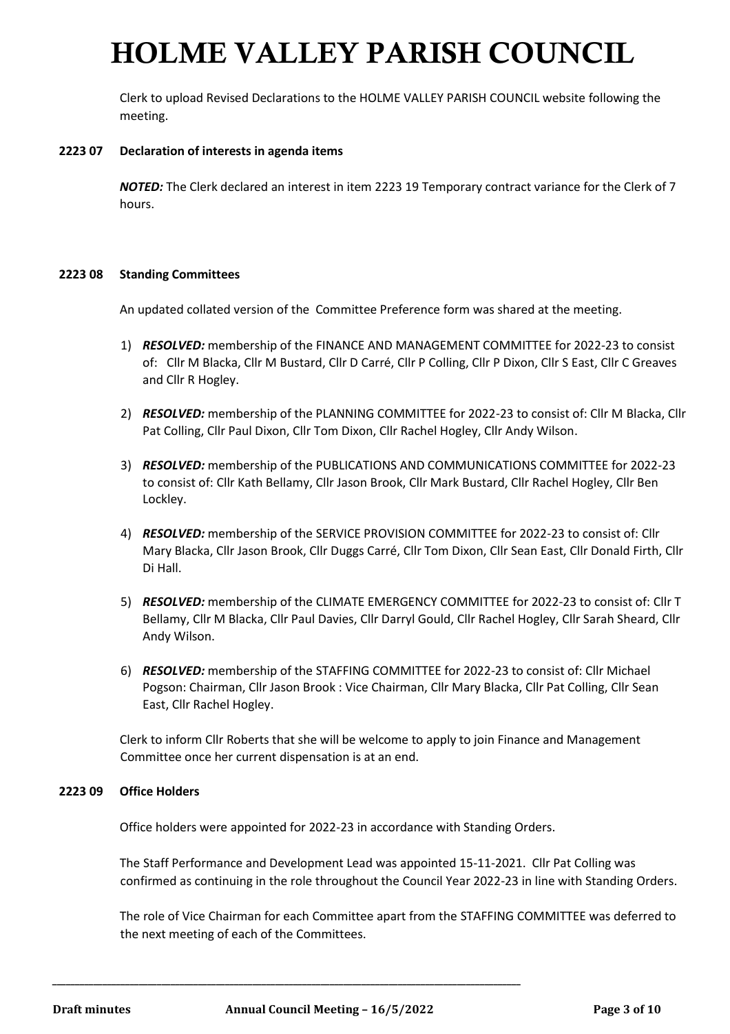Clerk to upload Revised Declarations to the HOLME VALLEY PARISH COUNCIL website following the meeting.

#### **2223 07 Declaration of interests in agenda items**

*NOTED:* The Clerk declared an interest in item 2223 19 Temporary contract variance for the Clerk of 7 hours.

#### **2223 08 Standing Committees**

An updated collated version of the Committee Preference form was shared at the meeting.

- 1) *RESOLVED:* membership of the FINANCE AND MANAGEMENT COMMITTEE for 2022-23 to consist of: Cllr M Blacka, Cllr M Bustard, Cllr D Carré, Cllr P Colling, Cllr P Dixon, Cllr S East, Cllr C Greaves and Cllr R Hogley.
- 2) *RESOLVED:* membership of the PLANNING COMMITTEE for 2022-23 to consist of: Cllr M Blacka, Cllr Pat Colling, Cllr Paul Dixon, Cllr Tom Dixon, Cllr Rachel Hogley, Cllr Andy Wilson.
- 3) *RESOLVED:* membership of the PUBLICATIONS AND COMMUNICATIONS COMMITTEE for 2022-23 to consist of: Cllr Kath Bellamy, Cllr Jason Brook, Cllr Mark Bustard, Cllr Rachel Hogley, Cllr Ben Lockley.
- 4) *RESOLVED:* membership of the SERVICE PROVISION COMMITTEE for 2022-23 to consist of: Cllr Mary Blacka, Cllr Jason Brook, Cllr Duggs Carré, Cllr Tom Dixon, Cllr Sean East, Cllr Donald Firth, Cllr Di Hall.
- 5) *RESOLVED:* membership of the CLIMATE EMERGENCY COMMITTEE for 2022-23 to consist of: Cllr T Bellamy, Cllr M Blacka, Cllr Paul Davies, Cllr Darryl Gould, Cllr Rachel Hogley, Cllr Sarah Sheard, Cllr Andy Wilson.
- 6) *RESOLVED:* membership of the STAFFING COMMITTEE for 2022-23 to consist of: Cllr Michael Pogson: Chairman, Cllr Jason Brook : Vice Chairman, Cllr Mary Blacka, Cllr Pat Colling, Cllr Sean East, Cllr Rachel Hogley.

Clerk to inform Cllr Roberts that she will be welcome to apply to join Finance and Management Committee once her current dispensation is at an end.

#### **2223 09 Office Holders**

Office holders were appointed for 2022-23 in accordance with Standing Orders.

The Staff Performance and Development Lead was appointed 15-11-2021. Cllr Pat Colling was confirmed as continuing in the role throughout the Council Year 2022-23 in line with Standing Orders.

The role of Vice Chairman for each Committee apart from the STAFFING COMMITTEE was deferred to the next meeting of each of the Committees.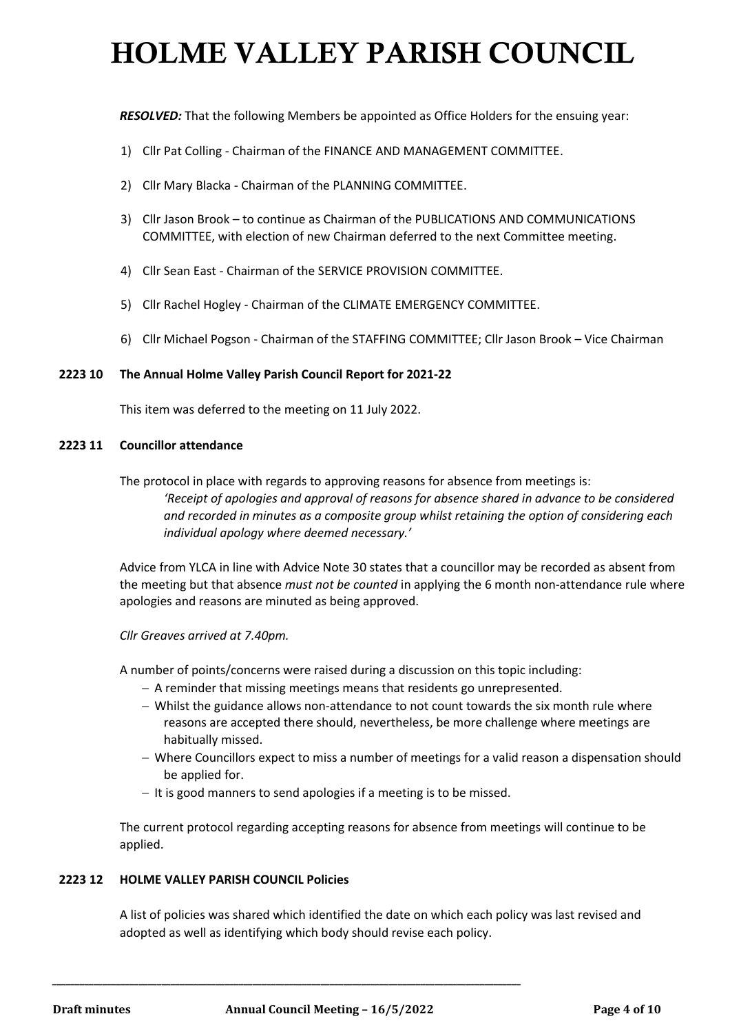*RESOLVED:* That the following Members be appointed as Office Holders for the ensuing year:

- 1) Cllr Pat Colling Chairman of the FINANCE AND MANAGEMENT COMMITTEE.
- 2) Cllr Mary Blacka Chairman of the PLANNING COMMITTEE.
- 3) Cllr Jason Brook to continue as Chairman of the PUBLICATIONS AND COMMUNICATIONS COMMITTEE, with election of new Chairman deferred to the next Committee meeting.
- 4) Cllr Sean East Chairman of the SERVICE PROVISION COMMITTEE.
- 5) Cllr Rachel Hogley Chairman of the CLIMATE EMERGENCY COMMITTEE.
- 6) Cllr Michael Pogson Chairman of the STAFFING COMMITTEE; Cllr Jason Brook Vice Chairman

#### **2223 10 The Annual Holme Valley Parish Council Report for 2021-22**

This item was deferred to the meeting on 11 July 2022.

#### **2223 11 Councillor attendance**

The protocol in place with regards to approving reasons for absence from meetings is:

*'Receipt of apologies and approval of reasons for absence shared in advance to be considered and recorded in minutes as a composite group whilst retaining the option of considering each individual apology where deemed necessary.'*

Advice from YLCA in line with Advice Note 30 states that a councillor may be recorded as absent from the meeting but that absence *must not be counted* in applying the 6 month non-attendance rule where apologies and reasons are minuted as being approved.

*Cllr Greaves arrived at 7.40pm.*

A number of points/concerns were raised during a discussion on this topic including:

- − A reminder that missing meetings means that residents go unrepresented.
- − Whilst the guidance allows non-attendance to not count towards the six month rule where reasons are accepted there should, nevertheless, be more challenge where meetings are habitually missed.
- − Where Councillors expect to miss a number of meetings for a valid reason a dispensation should be applied for.
- − It is good manners to send apologies if a meeting is to be missed.

The current protocol regarding accepting reasons for absence from meetings will continue to be applied.

### **2223 12 HOLME VALLEY PARISH COUNCIL Policies**

A list of policies was shared which identified the date on which each policy was last revised and adopted as well as identifying which body should revise each policy.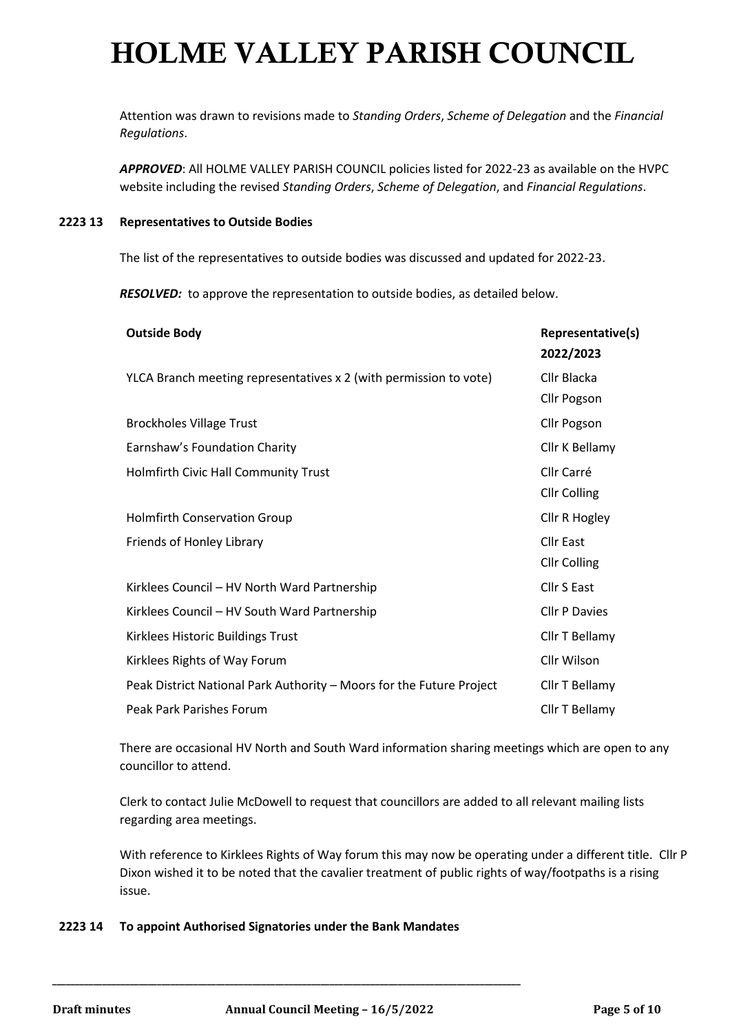Attention was drawn to revisions made to *Standing Orders*, *Scheme of Delegation* and the *Financial Regulations*.

*APPROVED*: All HOLME VALLEY PARISH COUNCIL policies listed for 2022-23 as available on the HVPC website including the revised *Standing Orders*, *Scheme of Delegation*, and *Financial Regulations*.

#### **2223 13 Representatives to Outside Bodies**

The list of the representatives to outside bodies was discussed and updated for 2022-23.

*RESOLVED:* to approve the representation to outside bodies, as detailed below.

| <b>Outside Body</b>                                                  | Representative(s)    |
|----------------------------------------------------------------------|----------------------|
|                                                                      | 2022/2023            |
| YLCA Branch meeting representatives x 2 (with permission to vote)    | Cllr Blacka          |
|                                                                      | Cllr Pogson          |
| <b>Brockholes Village Trust</b>                                      | Cllr Pogson          |
| Earnshaw's Foundation Charity                                        | Cllr K Bellamy       |
| Holmfirth Civic Hall Community Trust                                 | Cllr Carré           |
|                                                                      | <b>Cllr Colling</b>  |
| <b>Holmfirth Conservation Group</b>                                  | Cllr R Hogley        |
| Friends of Honley Library                                            | <b>Cllr East</b>     |
|                                                                      | <b>Cllr Colling</b>  |
| Kirklees Council - HV North Ward Partnership                         | Cllr S East          |
| Kirklees Council - HV South Ward Partnership                         | <b>Cllr P Davies</b> |
| Kirklees Historic Buildings Trust                                    | Cllr T Bellamy       |
| Kirklees Rights of Way Forum                                         | Cllr Wilson          |
| Peak District National Park Authority - Moors for the Future Project | Cllr T Bellamy       |
| Peak Park Parishes Forum                                             | Cllr T Bellamy       |

There are occasional HV North and South Ward information sharing meetings which are open to any councillor to attend.

Clerk to contact Julie McDowell to request that councillors are added to all relevant mailing lists regarding area meetings.

With reference to Kirklees Rights of Way forum this may now be operating under a different title. Cllr P Dixon wished it to be noted that the cavalier treatment of public rights of way/footpaths is a rising issue.

### **2223 14 To appoint Authorised Signatories under the Bank Mandates**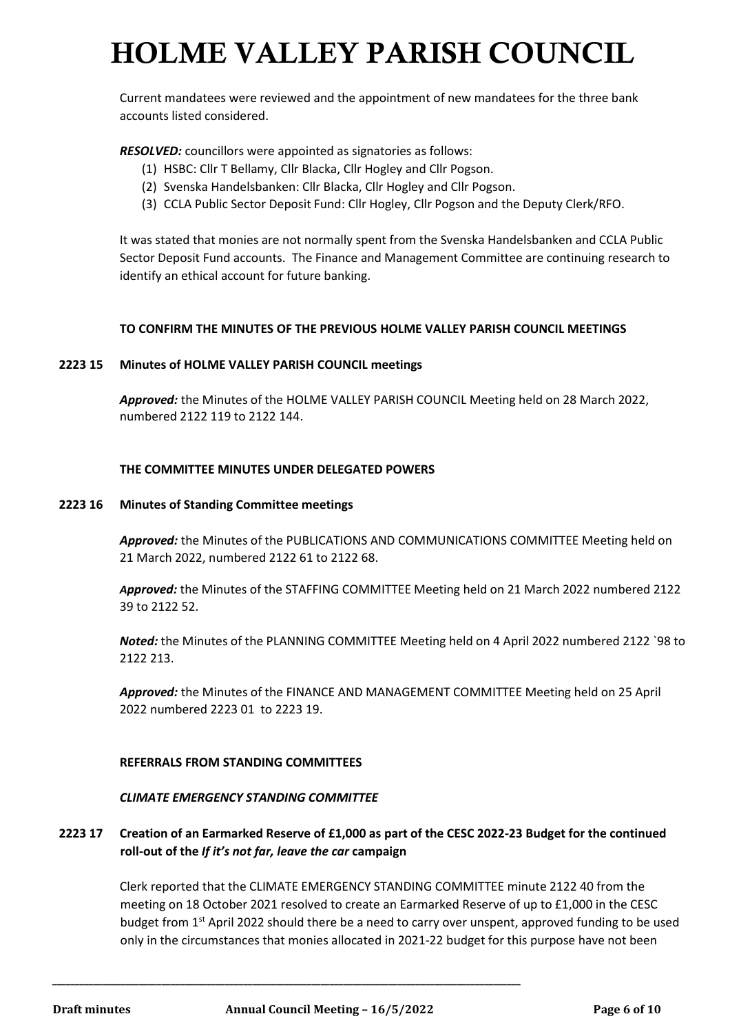Current mandatees were reviewed and the appointment of new mandatees for the three bank accounts listed considered.

*RESOLVED:* councillors were appointed as signatories as follows:

- (1) HSBC: Cllr T Bellamy, Cllr Blacka, Cllr Hogley and Cllr Pogson.
- (2) Svenska Handelsbanken: Cllr Blacka, Cllr Hogley and Cllr Pogson.
- (3) CCLA Public Sector Deposit Fund: Cllr Hogley, Cllr Pogson and the Deputy Clerk/RFO.

It was stated that monies are not normally spent from the Svenska Handelsbanken and CCLA Public Sector Deposit Fund accounts. The Finance and Management Committee are continuing research to identify an ethical account for future banking.

#### **TO CONFIRM THE MINUTES OF THE PREVIOUS HOLME VALLEY PARISH COUNCIL MEETINGS**

#### **2223 15 Minutes of HOLME VALLEY PARISH COUNCIL meetings**

*Approved:* the Minutes of the HOLME VALLEY PARISH COUNCIL Meeting held on 28 March 2022, numbered 2122 119 to 2122 144.

#### **THE COMMITTEE MINUTES UNDER DELEGATED POWERS**

#### **2223 16 Minutes of Standing Committee meetings**

*Approved:* the Minutes of the PUBLICATIONS AND COMMUNICATIONS COMMITTEE Meeting held on 21 March 2022, numbered 2122 61 to 2122 68.

*Approved:* the Minutes of the STAFFING COMMITTEE Meeting held on 21 March 2022 numbered 2122 39 to 2122 52.

*Noted:* the Minutes of the PLANNING COMMITTEE Meeting held on 4 April 2022 numbered 2122 `98 to 2122 213.

*Approved:* the Minutes of the FINANCE AND MANAGEMENT COMMITTEE Meeting held on 25 April 2022 numbered 2223 01 to 2223 19.

#### **REFERRALS FROM STANDING COMMITTEES**

#### *CLIMATE EMERGENCY STANDING COMMITTEE*

### **2223 17 Creation of an Earmarked Reserve of £1,000 as part of the CESC 2022-23 Budget for the continued roll-out of the** *If it's not far, leave the car* **campaign**

Clerk reported that the CLIMATE EMERGENCY STANDING COMMITTEE minute 2122 40 from the meeting on 18 October 2021 resolved to create an Earmarked Reserve of up to £1,000 in the CESC budget from 1st April 2022 should there be a need to carry over unspent, approved funding to be used only in the circumstances that monies allocated in 2021-22 budget for this purpose have not been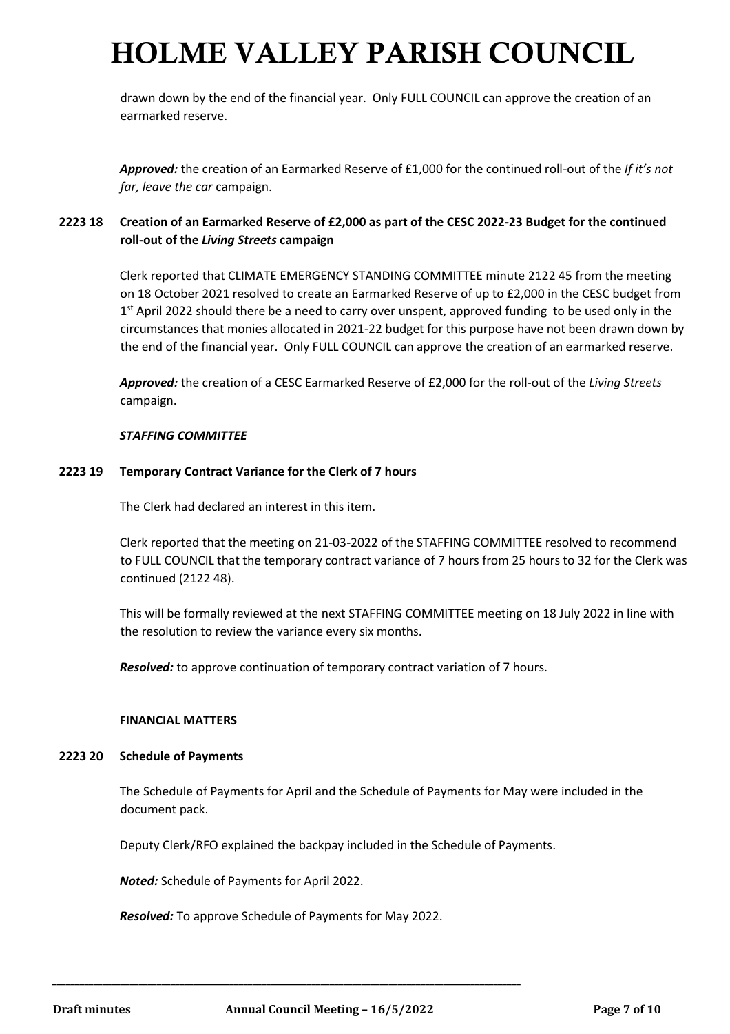drawn down by the end of the financial year. Only FULL COUNCIL can approve the creation of an earmarked reserve.

*Approved:* the creation of an Earmarked Reserve of £1,000 for the continued roll-out of the *If it's not far, leave the car* campaign.

## **2223 18 Creation of an Earmarked Reserve of £2,000 as part of the CESC 2022-23 Budget for the continued roll-out of the** *Living Streets* **campaign**

Clerk reported that CLIMATE EMERGENCY STANDING COMMITTEE minute 2122 45 from the meeting on 18 October 2021 resolved to create an Earmarked Reserve of up to £2,000 in the CESC budget from 1<sup>st</sup> April 2022 should there be a need to carry over unspent, approved funding to be used only in the circumstances that monies allocated in 2021-22 budget for this purpose have not been drawn down by the end of the financial year. Only FULL COUNCIL can approve the creation of an earmarked reserve.

*Approved:* the creation of a CESC Earmarked Reserve of £2,000 for the roll-out of the *Living Streets* campaign.

#### *STAFFING COMMITTEE*

#### **2223 19 Temporary Contract Variance for the Clerk of 7 hours**

The Clerk had declared an interest in this item.

Clerk reported that the meeting on 21-03-2022 of the STAFFING COMMITTEE resolved to recommend to FULL COUNCIL that the temporary contract variance of 7 hours from 25 hours to 32 for the Clerk was continued (2122 48).

This will be formally reviewed at the next STAFFING COMMITTEE meeting on 18 July 2022 in line with the resolution to review the variance every six months.

*Resolved:* to approve continuation of temporary contract variation of 7 hours.

#### **FINANCIAL MATTERS**

#### **2223 20 Schedule of Payments**

The Schedule of Payments for April and the Schedule of Payments for May were included in the document pack.

Deputy Clerk/RFO explained the backpay included in the Schedule of Payments.

*Noted:* Schedule of Payments for April 2022.

*Resolved:* To approve Schedule of Payments for May 2022.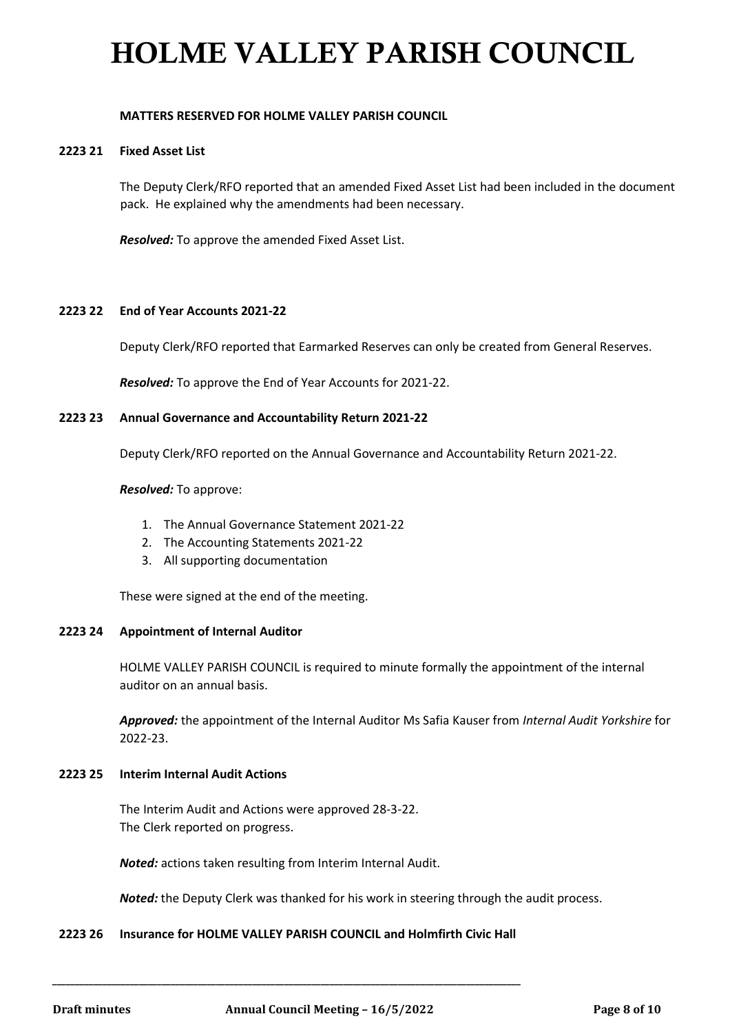#### **MATTERS RESERVED FOR HOLME VALLEY PARISH COUNCIL**

#### **2223 21 Fixed Asset List**

The Deputy Clerk/RFO reported that an amended Fixed Asset List had been included in the document pack. He explained why the amendments had been necessary.

*Resolved:* To approve the amended Fixed Asset List.

#### **2223 22 End of Year Accounts 2021-22**

Deputy Clerk/RFO reported that Earmarked Reserves can only be created from General Reserves.

*Resolved:* To approve the End of Year Accounts for 2021-22.

#### **2223 23 Annual Governance and Accountability Return 2021-22**

Deputy Clerk/RFO reported on the Annual Governance and Accountability Return 2021-22.

#### *Resolved:* To approve:

- 1. The Annual Governance Statement 2021-22
- 2. The Accounting Statements 2021-22
- 3. All supporting documentation

These were signed at the end of the meeting.

#### **2223 24 Appointment of Internal Auditor**

HOLME VALLEY PARISH COUNCIL is required to minute formally the appointment of the internal auditor on an annual basis.

*Approved:* the appointment of the Internal Auditor Ms Safia Kauser from *Internal Audit Yorkshire* for 2022-23.

#### **2223 25 Interim Internal Audit Actions**

The Interim Audit and Actions were approved 28-3-22. The Clerk reported on progress.

*Noted:* actions taken resulting from Interim Internal Audit.

*Noted:* the Deputy Clerk was thanked for his work in steering through the audit process.

#### **2223 26 Insurance for HOLME VALLEY PARISH COUNCIL and Holmfirth Civic Hall**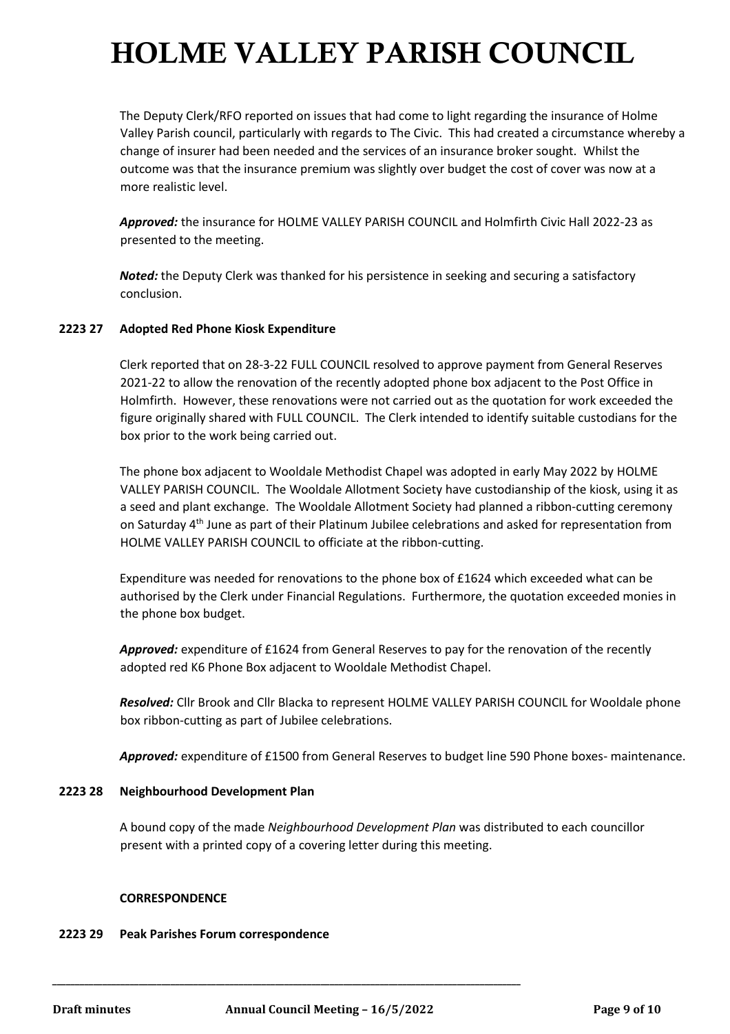The Deputy Clerk/RFO reported on issues that had come to light regarding the insurance of Holme Valley Parish council, particularly with regards to The Civic. This had created a circumstance whereby a change of insurer had been needed and the services of an insurance broker sought. Whilst the outcome was that the insurance premium was slightly over budget the cost of cover was now at a more realistic level.

*Approved:* the insurance for HOLME VALLEY PARISH COUNCIL and Holmfirth Civic Hall 2022-23 as presented to the meeting.

*Noted:* the Deputy Clerk was thanked for his persistence in seeking and securing a satisfactory conclusion.

### **2223 27 Adopted Red Phone Kiosk Expenditure**

Clerk reported that on 28-3-22 FULL COUNCIL resolved to approve payment from General Reserves 2021-22 to allow the renovation of the recently adopted phone box adjacent to the Post Office in Holmfirth. However, these renovations were not carried out as the quotation for work exceeded the figure originally shared with FULL COUNCIL. The Clerk intended to identify suitable custodians for the box prior to the work being carried out.

The phone box adjacent to Wooldale Methodist Chapel was adopted in early May 2022 by HOLME VALLEY PARISH COUNCIL. The Wooldale Allotment Society have custodianship of the kiosk, using it as a seed and plant exchange. The Wooldale Allotment Society had planned a ribbon-cutting ceremony on Saturday 4<sup>th</sup> June as part of their Platinum Jubilee celebrations and asked for representation from HOLME VALLEY PARISH COUNCIL to officiate at the ribbon-cutting.

Expenditure was needed for renovations to the phone box of £1624 which exceeded what can be authorised by the Clerk under Financial Regulations. Furthermore, the quotation exceeded monies in the phone box budget.

*Approved:* expenditure of £1624 from General Reserves to pay for the renovation of the recently adopted red K6 Phone Box adjacent to Wooldale Methodist Chapel.

*Resolved:* Cllr Brook and Cllr Blacka to represent HOLME VALLEY PARISH COUNCIL for Wooldale phone box ribbon-cutting as part of Jubilee celebrations.

*Approved:* expenditure of £1500 from General Reserves to budget line 590 Phone boxes- maintenance.

#### **2223 28 Neighbourhood Development Plan**

A bound copy of the made *Neighbourhood Development Plan* was distributed to each councillor present with a printed copy of a covering letter during this meeting.

#### **CORRESPONDENCE**

#### **2223 29 Peak Parishes Forum correspondence**